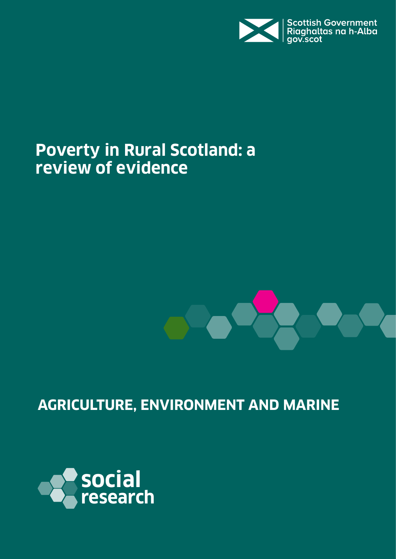

# **Poverty in Rural Scotland: a review of evidence**



## **AGRICULTURE, ENVIRONMENT AND MARINE**

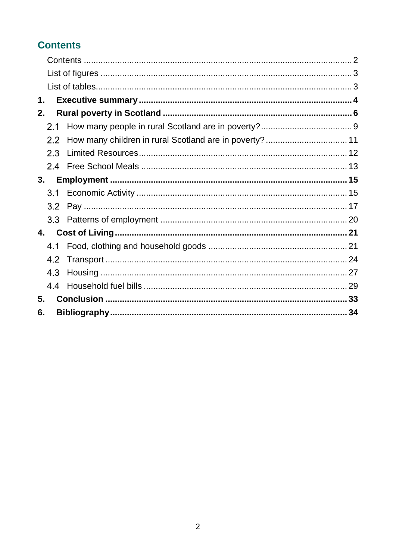## <span id="page-1-0"></span>**Contents**

| 1.             |     |                                                         |  |
|----------------|-----|---------------------------------------------------------|--|
| 2.             |     |                                                         |  |
|                | 2.1 |                                                         |  |
|                | 2.2 | How many children in rural Scotland are in poverty?  11 |  |
|                | 2.3 |                                                         |  |
|                | 2.4 |                                                         |  |
| 3.             |     |                                                         |  |
|                | 3.1 |                                                         |  |
|                | 3.2 |                                                         |  |
|                | 3.3 |                                                         |  |
| 4.             |     |                                                         |  |
|                | 4.1 |                                                         |  |
|                | 4.2 |                                                         |  |
|                | 4.3 |                                                         |  |
|                | 4.4 |                                                         |  |
| 5 <sub>1</sub> |     |                                                         |  |
| 6.             |     |                                                         |  |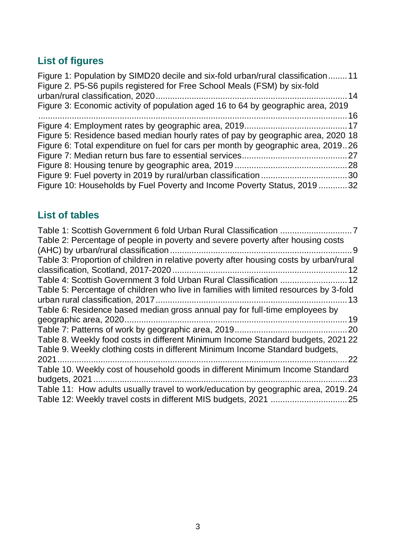## <span id="page-2-0"></span>**List of figures**

| Figure 1: Population by SIMD20 decile and six-fold urban/rural classification11   |  |
|-----------------------------------------------------------------------------------|--|
| Figure 2. P5-S6 pupils registered for Free School Meals (FSM) by six-fold         |  |
|                                                                                   |  |
| Figure 3: Economic activity of population aged 16 to 64 by geographic area, 2019  |  |
|                                                                                   |  |
|                                                                                   |  |
| Figure 5: Residence based median hourly rates of pay by geographic area, 2020 18  |  |
| Figure 6: Total expenditure on fuel for cars per month by geographic area, 201926 |  |
|                                                                                   |  |
|                                                                                   |  |
|                                                                                   |  |
| Figure 10: Households by Fuel Poverty and Income Poverty Status, 2019 32          |  |

## <span id="page-2-1"></span>**List of tables**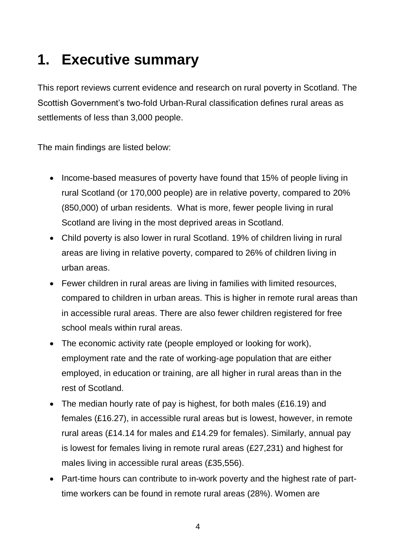# <span id="page-3-0"></span>**1. Executive summary**

This report reviews current evidence and research on rural poverty in Scotland. The Scottish Government's two-fold Urban-Rural classification defines rural areas as settlements of less than 3,000 people.

The main findings are listed below:

- Income-based measures of poverty have found that 15% of people living in rural Scotland (or 170,000 people) are in relative poverty, compared to 20% (850,000) of urban residents. What is more, fewer people living in rural Scotland are living in the most deprived areas in Scotland.
- Child poverty is also lower in rural Scotland. 19% of children living in rural areas are living in relative poverty, compared to 26% of children living in urban areas.
- Fewer children in rural areas are living in families with limited resources, compared to children in urban areas. This is higher in remote rural areas than in accessible rural areas. There are also fewer children registered for free school meals within rural areas.
- The economic activity rate (people employed or looking for work), employment rate and the rate of working-age population that are either employed, in education or training, are all higher in rural areas than in the rest of Scotland.
- The median hourly rate of pay is highest, for both males (£16.19) and females (£16.27), in accessible rural areas but is lowest, however, in remote rural areas (£14.14 for males and £14.29 for females). Similarly, annual pay is lowest for females living in remote rural areas (£27,231) and highest for males living in accessible rural areas (£35,556).
- Part-time hours can contribute to in-work poverty and the highest rate of parttime workers can be found in remote rural areas (28%). Women are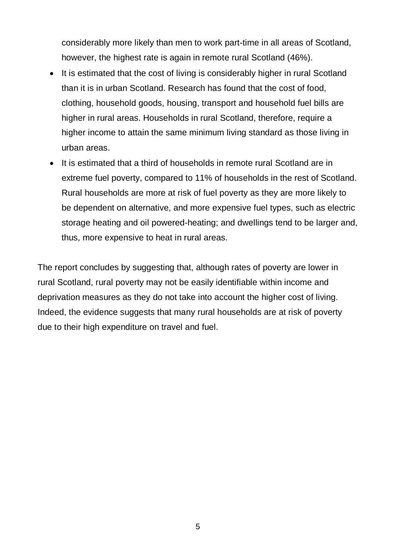considerably more likely than men to work part-time in all areas of Scotland, however, the highest rate is again in remote rural Scotland (46%).

- It is estimated that the cost of living is considerably higher in rural Scotland than it is in urban Scotland. Research has found that the cost of food, clothing, household goods, housing, transport and household fuel bills are higher in rural areas. Households in rural Scotland, therefore, require a higher income to attain the same minimum living standard as those living in urban areas.
- It is estimated that a third of households in remote rural Scotland are in extreme fuel poverty, compared to 11% of households in the rest of Scotland. Rural households are more at risk of fuel poverty as they are more likely to be dependent on alternative, and more expensive fuel types, such as electric storage heating and oil powered-heating; and dwellings tend to be larger and, thus, more expensive to heat in rural areas.

The report concludes by suggesting that, although rates of poverty are lower in rural Scotland, rural poverty may not be easily identifiable within income and deprivation measures as they do not take into account the higher cost of living. Indeed, the evidence suggests that many rural households are at risk of poverty due to their high expenditure on travel and fuel.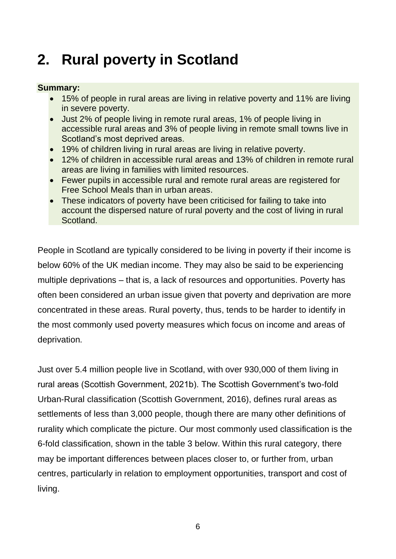# <span id="page-5-0"></span>**2. Rural poverty in Scotland**

### **Summary:**

- 15% of people in rural areas are living in relative poverty and 11% are living in severe poverty.
- Just 2% of people living in remote rural areas, 1% of people living in accessible rural areas and 3% of people living in remote small towns live in Scotland's most deprived areas.
- 19% of children living in rural areas are living in relative poverty.
- 12% of children in accessible rural areas and 13% of children in remote rural areas are living in families with limited resources.
- Fewer pupils in accessible rural and remote rural areas are registered for Free School Meals than in urban areas.
- These indicators of poverty have been criticised for failing to take into account the dispersed nature of rural poverty and the cost of living in rural Scotland.

People in Scotland are typically considered to be living in poverty if their income is below 60% of the UK median income. They may also be said to be experiencing multiple deprivations – that is, a lack of resources and opportunities. Poverty has often been considered an urban issue given that poverty and deprivation are more concentrated in these areas. Rural poverty, thus, tends to be harder to identify in the most commonly used poverty measures which focus on income and areas of deprivation.

Just over 5.4 million people live in Scotland, with over 930,000 of them living in rural areas (Scottish Government, 2021b). The Scottish Government's two-fold Urban-Rural classification (Scottish Government, 2016), defines rural areas as settlements of less than 3,000 people, though there are many other definitions of rurality which complicate the picture. Our most commonly used classification is the 6-fold classification, shown in the table 3 below. Within this rural category, there may be important differences between places closer to, or further from, urban centres, particularly in relation to employment opportunities, transport and cost of living.

6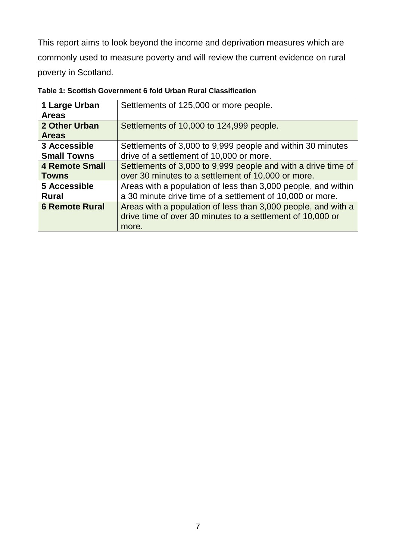This report aims to look beyond the income and deprivation measures which are commonly used to measure poverty and will review the current evidence on rural poverty in Scotland.

| 1 Large Urban<br><b>Areas</b> | Settlements of 125,000 or more people.                                                                                      |  |  |
|-------------------------------|-----------------------------------------------------------------------------------------------------------------------------|--|--|
| 2 Other Urban<br><b>Areas</b> | Settlements of 10,000 to 124,999 people.                                                                                    |  |  |
| 3 Accessible                  | Settlements of 3,000 to 9,999 people and within 30 minutes                                                                  |  |  |
| <b>Small Towns</b>            | drive of a settlement of 10,000 or more.                                                                                    |  |  |
| <b>4 Remote Small</b>         | Settlements of 3,000 to 9,999 people and with a drive time of                                                               |  |  |
| <b>Towns</b>                  | over 30 minutes to a settlement of 10,000 or more.                                                                          |  |  |
| 5 Accessible                  | Areas with a population of less than 3,000 people, and within                                                               |  |  |
| <b>Rural</b>                  | a 30 minute drive time of a settlement of 10,000 or more.                                                                   |  |  |
| <b>6 Remote Rural</b>         | Areas with a population of less than 3,000 people, and with a<br>drive time of over 30 minutes to a settlement of 10,000 or |  |  |
|                               | more.                                                                                                                       |  |  |

<span id="page-6-0"></span>**Table 1: Scottish Government 6 fold Urban Rural Classification**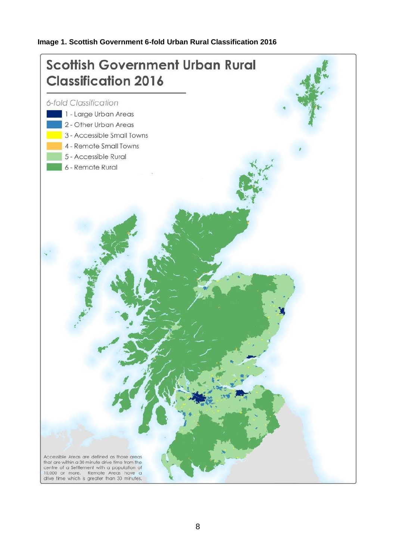### **Image 1. Scottish Government 6-fold Urban Rural Classification 2016**

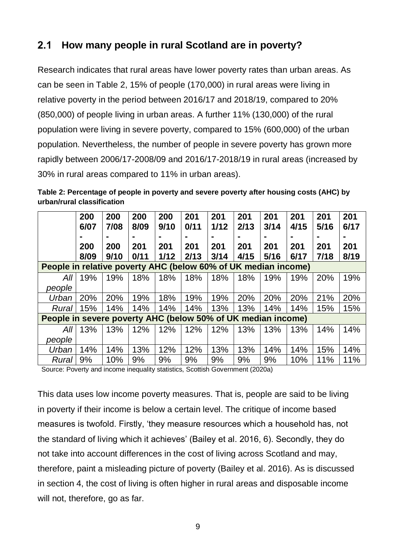#### <span id="page-8-0"></span>**How many people in rural Scotland are in poverty?**  $2.1$

Research indicates that rural areas have lower poverty rates than urban areas. As can be seen in Table 2, 15% of people (170,000) in rural areas were living in relative poverty in the period between 2016/17 and 2018/19, compared to 20% (850,000) of people living in urban areas. A further 11% (130,000) of the rural population were living in severe poverty, compared to 15% (600,000) of the urban population. Nevertheless, the number of people in severe poverty has grown more rapidly between 2006/17-2008/09 and 2016/17-2018/19 in rural areas (increased by 30% in rural areas compared to 11% in urban areas).

<span id="page-8-1"></span>**Table 2: Percentage of people in poverty and severe poverty after housing costs (AHC) by urban/rural classification**

|                                                                | 200<br>6/07<br>200<br>8/09 | 200<br>7/08<br>200<br>9/10 | 200<br>8/09<br>201<br>0/11 | 200<br>9/10<br>201<br>1/12 | 201<br>0/11<br>201<br>2/13 | 201<br>1/12<br>201<br>3/14 | 201<br>2/13<br>201<br>4/15 | 201<br>3/14<br>201<br>5/16 | 201<br>4/15<br>201<br>6/17 | 201<br>5/16<br>201<br>7/18 | 201<br>6/17<br>201<br>8/19 |
|----------------------------------------------------------------|----------------------------|----------------------------|----------------------------|----------------------------|----------------------------|----------------------------|----------------------------|----------------------------|----------------------------|----------------------------|----------------------------|
| People in relative poverty AHC (below 60% of UK median income) |                            |                            |                            |                            |                            |                            |                            |                            |                            |                            |                            |
| All                                                            | 19%                        | 19%                        | 18%                        | 18%                        | 18%                        | 18%                        | 18%                        | 19%                        | 19%                        | 20%                        | 19%                        |
| people                                                         |                            |                            |                            |                            |                            |                            |                            |                            |                            |                            |                            |
| Urban                                                          | 20%                        | 20%                        | 19%                        | 18%                        | 19%                        | 19%                        | 20%                        | 20%                        | 20%                        | 21%                        | 20%                        |
| Rural                                                          | 15%                        | 14%                        | 14%                        | 14%                        | 14%                        | 13%                        | 13%                        | 14%                        | 14%                        | 15%                        | 15%                        |
| People in severe poverty AHC (below 50% of UK median income)   |                            |                            |                            |                            |                            |                            |                            |                            |                            |                            |                            |
| All                                                            | 13%                        | 13%                        | 12%                        | 12%                        | 12%                        | 12%                        | 13%                        | 13%                        | 13%                        | 14%                        | 14%                        |
| people                                                         |                            |                            |                            |                            |                            |                            |                            |                            |                            |                            |                            |
| Urban                                                          | 14%                        | 14%                        | 13%                        | 12%                        | 12%                        | 13%                        | 13%                        | 14%                        | 14%                        | 15%                        | 14%                        |
| Rural                                                          | 9%                         | 10%                        | 9%                         | 9%                         | 9%                         | 9%                         | 9%                         | 9%                         | 10%                        | 11%                        | 11%                        |

Source: Poverty and income inequality statistics, Scottish Government (2020a)

This data uses low income poverty measures. That is, people are said to be living in poverty if their income is below a certain level. The critique of income based measures is twofold. Firstly, 'they measure resources which a household has, not the standard of living which it achieves' (Bailey et al. 2016, 6). Secondly, they do not take into account differences in the cost of living across Scotland and may, therefore, paint a misleading picture of poverty (Bailey et al. 2016). As is discussed in section 4, the cost of living is often higher in rural areas and disposable income will not, therefore, go as far.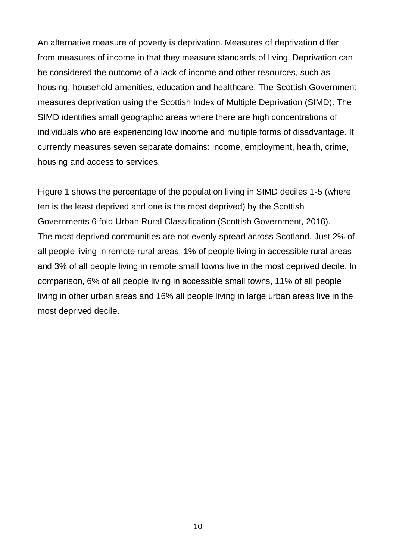An alternative measure of poverty is deprivation. Measures of deprivation differ from measures of income in that they measure standards of living. Deprivation can be considered the outcome of a lack of income and other resources, such as housing, household amenities, education and healthcare. The Scottish Government measures deprivation using the Scottish Index of Multiple Deprivation (SIMD). The SIMD identifies small geographic areas where there are high concentrations of individuals who are experiencing low income and multiple forms of disadvantage. It currently measures seven separate domains: income, employment, health, crime, housing and access to services.

Figure 1 shows the percentage of the population living in SIMD deciles 1-5 (where ten is the least deprived and one is the most deprived) by the Scottish Governments 6 fold Urban Rural Classification (Scottish Government, 2016). The most deprived communities are not evenly spread across Scotland. Just 2% of all people living in remote rural areas, 1% of people living in accessible rural areas and 3% of all people living in remote small towns live in the most deprived decile. In comparison, 6% of all people living in accessible small towns, 11% of all people living in other urban areas and 16% all people living in large urban areas live in the most deprived decile.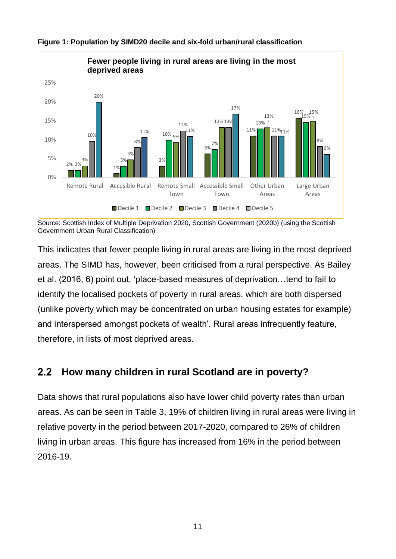

### <span id="page-10-1"></span>**Figure 1: Population by SIMD20 decile and six-fold urban/rural classification**

This indicates that fewer people living in rural areas are living in the most deprived areas. The SIMD has, however, been criticised from a rural perspective. As Bailey et al. (2016, 6) point out, 'place-based measures of deprivation…tend to fail to identify the localised pockets of poverty in rural areas, which are both dispersed (unlike poverty which may be concentrated on urban housing estates for example) and interspersed amongst pockets of wealth'. Rural areas infrequently feature, therefore, in lists of most deprived areas.

#### <span id="page-10-0"></span>**How many children in rural Scotland are in poverty?**  $2.2$

Data shows that rural populations also have lower child poverty rates than urban areas. As can be seen in Table 3, 19% of children living in rural areas were living in relative poverty in the period between 2017-2020, compared to 26% of children living in urban areas. This figure has increased from 16% in the period between 2016-19.

Source: Scottish Index of Multiple Deprivation 2020, Scottish Government (2020b) (using the Scottish Government Urban Rural Classification)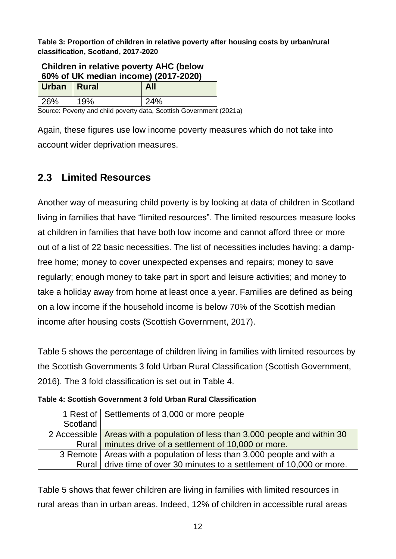<span id="page-11-1"></span>**Table 3: Proportion of children in relative poverty after housing costs by urban/rural classification, Scotland, 2017-2020**

| Children in relative poverty AHC (below<br>60% of UK median income) (2017-2020) |  |  |  |  |  |
|---------------------------------------------------------------------------------|--|--|--|--|--|
| Urban   Rural<br><b>All</b>                                                     |  |  |  |  |  |
| 26%<br>19%<br>24%                                                               |  |  |  |  |  |

Source: Poverty and child poverty data, Scottish Government (2021a)

Again, these figures use low income poverty measures which do not take into account wider deprivation measures.

## <span id="page-11-0"></span>**Limited Resources**

Another way of measuring child poverty is by looking at data of children in Scotland living in families that have "limited resources". The limited resources measure looks at children in families that have both low income and cannot afford three or more out of a list of 22 basic necessities. The list of necessities includes having: a dampfree home; money to cover unexpected expenses and repairs; money to save regularly; enough money to take part in sport and leisure activities; and money to take a holiday away from home at least once a year. Families are defined as being on a low income if the household income is below 70% of the Scottish median income after housing costs (Scottish Government, 2017).

Table 5 shows the percentage of children living in families with limited resources by the Scottish Governments 3 fold Urban Rural Classification (Scottish Government, 2016). The 3 fold classification is set out in Table 4.

<span id="page-11-2"></span>

|          | 1 Rest of Settlements of 3,000 or more people                                  |
|----------|--------------------------------------------------------------------------------|
| Scotland |                                                                                |
|          | 2 Accessible   Areas with a population of less than 3,000 people and within 30 |
|          | Rural   minutes drive of a settlement of 10,000 or more.                       |
|          | 3 Remote   Areas with a population of less than 3,000 people and with a        |
|          | Rural drive time of over 30 minutes to a settlement of 10,000 or more.         |

Table 5 shows that fewer children are living in families with limited resources in rural areas than in urban areas. Indeed, 12% of children in accessible rural areas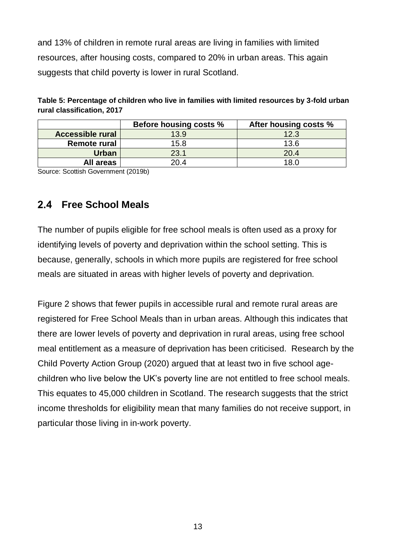and 13% of children in remote rural areas are living in families with limited resources, after housing costs, compared to 20% in urban areas. This again suggests that child poverty is lower in rural Scotland.

<span id="page-12-1"></span>

| Table 5: Percentage of children who live in families with limited resources by 3-fold urban |
|---------------------------------------------------------------------------------------------|
| rural classification, 2017                                                                  |

|                         | Before housing costs % | After housing costs % |
|-------------------------|------------------------|-----------------------|
| <b>Accessible rural</b> | 13.9                   | 12.3                  |
| <b>Remote rural</b>     | 15.8                   | 13.6                  |
| <b>Urban</b>            | 23.1                   | 20.4                  |
| All areas               | 20.4                   | 18.0                  |

Source: Scottish Government (2019b)

### <span id="page-12-0"></span>**Free School Meals**

The number of pupils eligible for free school meals is often used as a proxy for identifying levels of poverty and deprivation within the school setting. This is because, generally, schools in which more pupils are registered for free school meals are situated in areas with higher levels of poverty and deprivation.

Figure 2 shows that fewer pupils in accessible rural and remote rural areas are registered for Free School Meals than in urban areas. Although this indicates that there are lower levels of poverty and deprivation in rural areas, using free school meal entitlement as a measure of deprivation has been criticised. Research by the Child Poverty Action Group (2020) argued that at least two in five school agechildren who live below the UK's poverty line are not entitled to free school meals. This equates to 45,000 children in Scotland. The research suggests that the strict income thresholds for eligibility mean that many families do not receive support, in particular those living in in-work poverty.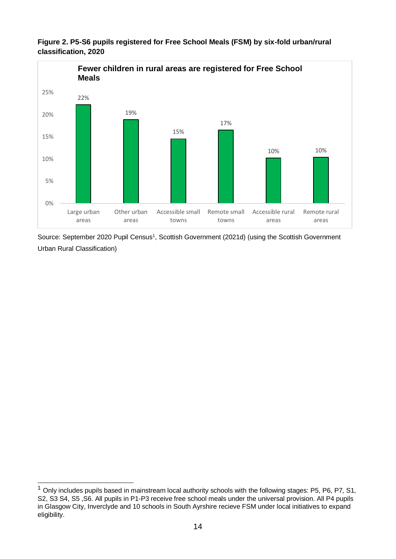

<span id="page-13-0"></span>**Figure 2. P5-S6 pupils registered for Free School Meals (FSM) by six-fold urban/rural classification, 2020**

Source: September 2020 Pupil Census<sup>1</sup>, Scottish Government (2021d) (using the Scottish Government Urban Rural Classification)

 $\overline{a}$  $1$  Only includes pupils based in mainstream local authority schools with the following stages: P5, P6, P7, S1, S2, S3 S4, S5 ,S6. All pupils in P1-P3 receive free school meals under the universal provision. All P4 pupils in Glasgow City, Inverclyde and 10 schools in South Ayrshire recieve FSM under local initiatives to expand eligibility.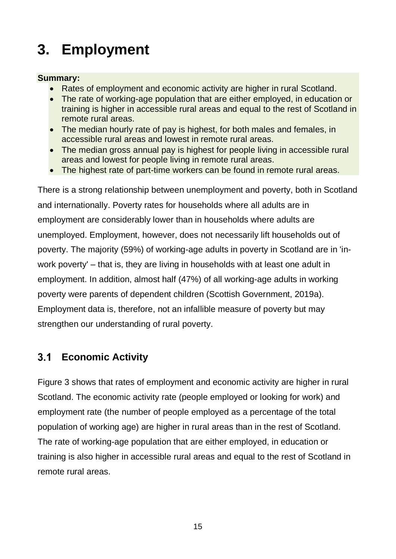# <span id="page-14-0"></span>**3. Employment**

### **Summary:**

- Rates of employment and economic activity are higher in rural Scotland.
- The rate of working-age population that are either employed, in education or training is higher in accessible rural areas and equal to the rest of Scotland in remote rural areas.
- The median hourly rate of pay is highest, for both males and females, in accessible rural areas and lowest in remote rural areas.
- The median gross annual pay is highest for people living in accessible rural areas and lowest for people living in remote rural areas.
- The highest rate of part-time workers can be found in remote rural areas.

There is a strong relationship between unemployment and poverty, both in Scotland and internationally. Poverty rates for households where all adults are in employment are considerably lower than in households where adults are unemployed. Employment, however, does not necessarily lift households out of poverty. The majority (59%) of working-age adults in poverty in Scotland are in 'inwork poverty' – that is, they are living in households with at least one adult in employment. In addition, almost half (47%) of all working-age adults in working poverty were parents of dependent children (Scottish Government, 2019a). Employment data is, therefore, not an infallible measure of poverty but may strengthen our understanding of rural poverty.

#### <span id="page-14-1"></span>**Economic Activity**  $3.1$

Figure 3 shows that rates of employment and economic activity are higher in rural Scotland. The economic activity rate (people employed or looking for work) and employment rate (the number of people employed as a percentage of the total population of working age) are higher in rural areas than in the rest of Scotland. The rate of working-age population that are either employed, in education or training is also higher in accessible rural areas and equal to the rest of Scotland in remote rural areas.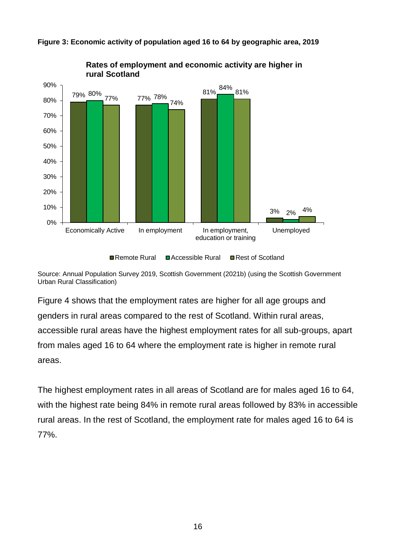

<span id="page-15-0"></span>**Figure 3: Economic activity of population aged 16 to 64 by geographic area, 2019**

Source: Annual Population Survey 2019, Scottish Government (2021b) (using the Scottish Government Urban Rural Classification)

Figure 4 shows that the employment rates are higher for all age groups and genders in rural areas compared to the rest of Scotland. Within rural areas, accessible rural areas have the highest employment rates for all sub-groups, apart from males aged 16 to 64 where the employment rate is higher in remote rural areas.

The highest employment rates in all areas of Scotland are for males aged 16 to 64, with the highest rate being 84% in remote rural areas followed by 83% in accessible rural areas. In the rest of Scotland, the employment rate for males aged 16 to 64 is 77%.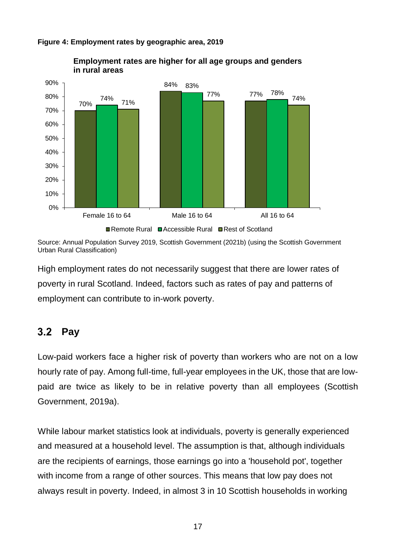

#### <span id="page-16-1"></span>**Figure 4: Employment rates by geographic area, 2019**

Source: Annual Population Survey 2019, Scottish Government (2021b) (using the Scottish Government Urban Rural Classification)

High employment rates do not necessarily suggest that there are lower rates of poverty in rural Scotland. Indeed, factors such as rates of pay and patterns of employment can contribute to in-work poverty.

## <span id="page-16-0"></span>3.2 Pay

Low-paid workers face a higher risk of poverty than workers who are not on a low hourly rate of pay. Among full-time, full-year employees in the UK, those that are lowpaid are twice as likely to be in relative poverty than all employees (Scottish Government, 2019a).

While labour market statistics look at individuals, poverty is generally experienced and measured at a household level. The assumption is that, although individuals are the recipients of earnings, those earnings go into a 'household pot', together with income from a range of other sources. This means that low pay does not always result in poverty. Indeed, in almost 3 in 10 Scottish households in working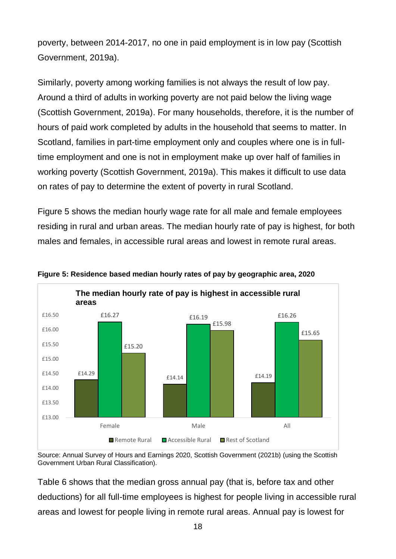poverty, between 2014-2017, no one in paid employment is in low pay (Scottish Government, 2019a).

Similarly, poverty among working families is not always the result of low pay. Around a third of adults in working poverty are not paid below the living wage (Scottish Government, 2019a). For many households, therefore, it is the number of hours of paid work completed by adults in the household that seems to matter. In Scotland, families in part-time employment only and couples where one is in fulltime employment and one is not in employment make up over half of families in working poverty (Scottish Government, 2019a). This makes it difficult to use data on rates of pay to determine the extent of poverty in rural Scotland.

Figure 5 shows the median hourly wage rate for all male and female employees residing in rural and urban areas. The median hourly rate of pay is highest, for both males and females, in accessible rural areas and lowest in remote rural areas.



<span id="page-17-0"></span>

Source: Annual Survey of Hours and Earnings 2020, Scottish Government (2021b) (using the Scottish Government Urban Rural Classification).

Table 6 shows that the median gross annual pay (that is, before tax and other deductions) for all full-time employees is highest for people living in accessible rural areas and lowest for people living in remote rural areas. Annual pay is lowest for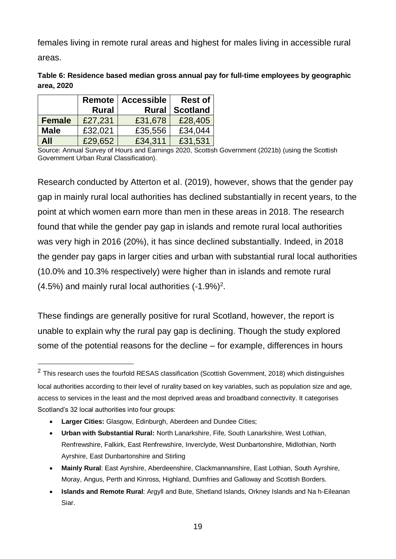females living in remote rural areas and highest for males living in accessible rural

areas.

l

<span id="page-18-0"></span>

| Table 6: Residence based median gross annual pay for full-time employees by geographic |
|----------------------------------------------------------------------------------------|
| area, 2020                                                                             |

|               |              | Remote   Accessible | <b>Rest of</b>  |
|---------------|--------------|---------------------|-----------------|
|               | <b>Rural</b> | <b>Rural</b>        | <b>Scotland</b> |
| <b>Female</b> | £27,231      | £31,678             | £28,405         |
| <b>Male</b>   | £32,021      | £35,556             | £34,044         |
| <b>All</b>    | £29,652      | £34,311             | £31,531         |

Source: Annual Survey of Hours and Earnings 2020, Scottish Government (2021b) (using the Scottish Government Urban Rural Classification).

Research conducted by Atterton et al. (2019), however, shows that the gender pay gap in mainly rural local authorities has declined substantially in recent years, to the point at which women earn more than men in these areas in 2018. The research found that while the gender pay gap in islands and remote rural local authorities was very high in 2016 (20%), it has since declined substantially. Indeed, in 2018 the gender pay gaps in larger cities and urban with substantial rural local authorities (10.0% and 10.3% respectively) were higher than in islands and remote rural  $(4.5%)$  and mainly rural local authorities  $(-1.9%)^2$ .

These findings are generally positive for rural Scotland, however, the report is unable to explain why the rural pay gap is declining. Though the study explored some of the potential reasons for the decline – for example, differences in hours

- **Urban with Substantial Rural:** North Lanarkshire, Fife, South Lanarkshire, West Lothian, Renfrewshire, Falkirk, East Renfrewshire, Inverclyde, West Dunbartonshire, Midlothian, North Ayrshire, East Dunbartonshire and Stirling
- **Mainly Rural**: East Ayrshire, Aberdeenshire, Clackmannanshire, East Lothian, South Ayrshire, Moray, Angus, Perth and Kinross, Highland, Dumfries and Galloway and Scottish Borders.
- **Islands and Remote Rural**: Argyll and Bute, Shetland Islands, Orkney Islands and Na h-Eileanan Siar.

 $2$  This research uses the fourfold RESAS classification (Scottish Government, 2018) which distinguishes local authorities according to their level of rurality based on key variables, such as population size and age, access to services in the least and the most deprived areas and broadband connectivity. It categorises Scotland's 32 local authorities into four groups:

<sup>•</sup> **Larger Cities:** Glasgow, Edinburgh, Aberdeen and Dundee Cities;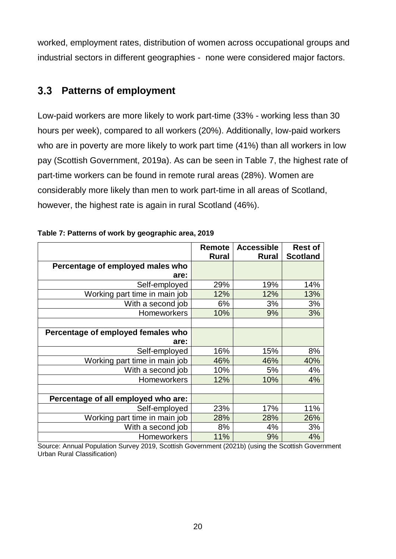worked, employment rates, distribution of women across occupational groups and industrial sectors in different geographies - none were considered major factors.

#### <span id="page-19-0"></span>**Patterns of employment**  $3.3$

Low-paid workers are more likely to work part-time (33% - working less than 30 hours per week), compared to all workers (20%). Additionally, low-paid workers who are in poverty are more likely to work part time (41%) than all workers in low pay (Scottish Government, 2019a). As can be seen in Table 7, the highest rate of part-time workers can be found in remote rural areas (28%). Women are considerably more likely than men to work part-time in all areas of Scotland, however, the highest rate is again in rural Scotland (46%).

|                                     | Remote<br><b>Rural</b> | <b>Accessible</b><br><b>Rural</b> | <b>Rest of</b><br><b>Scotland</b> |
|-------------------------------------|------------------------|-----------------------------------|-----------------------------------|
| Percentage of employed males who    |                        |                                   |                                   |
| are:                                |                        |                                   |                                   |
| Self-employed                       | 29%                    | 19%                               | 14%                               |
| Working part time in main job       | 12%                    | 12%                               | 13%                               |
| With a second job                   | 6%                     | 3%                                | 3%                                |
| Homeworkers                         | 10%                    | 9%                                | 3%                                |
|                                     |                        |                                   |                                   |
| Percentage of employed females who  |                        |                                   |                                   |
| are:                                |                        |                                   |                                   |
| Self-employed                       | 16%                    | 15%                               | 8%                                |
| Working part time in main job       | 46%                    | 46%                               | 40%                               |
| With a second job                   | 10%                    | 5%                                | 4%                                |
| <b>Homeworkers</b>                  | 12%                    | 10%                               | 4%                                |
|                                     |                        |                                   |                                   |
| Percentage of all employed who are: |                        |                                   |                                   |
| Self-employed                       | 23%                    | 17%                               | 11%                               |
| Working part time in main job       | 28%                    | 28%                               | 26%                               |
| With a second job                   | 8%                     | 4%                                | 3%                                |
| <b>Homeworkers</b>                  | 11%                    | 9%                                | 4%                                |

<span id="page-19-1"></span>

| Table 7: Patterns of work by geographic area, 2019 |  |
|----------------------------------------------------|--|

Source: Annual Population Survey 2019, Scottish Government (2021b) (using the Scottish Government Urban Rural Classification)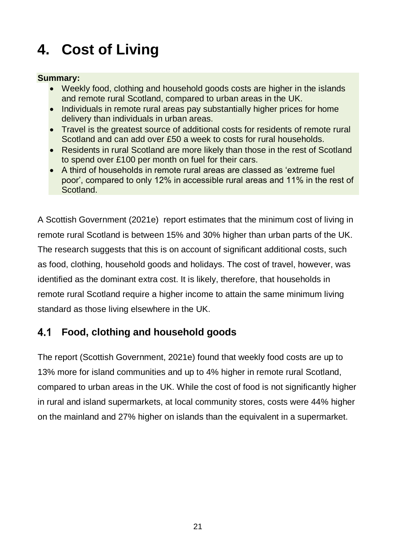# <span id="page-20-0"></span>**4. Cost of Living**

### **Summary:**

- Weekly food, clothing and household goods costs are higher in the islands and remote rural Scotland, compared to urban areas in the UK.
- Individuals in remote rural areas pay substantially higher prices for home delivery than individuals in urban areas.
- Travel is the greatest source of additional costs for residents of remote rural Scotland and can add over £50 a week to costs for rural households.
- Residents in rural Scotland are more likely than those in the rest of Scotland to spend over £100 per month on fuel for their cars.
- A third of households in remote rural areas are classed as 'extreme fuel poor', compared to only 12% in accessible rural areas and 11% in the rest of Scotland.

A Scottish Government (2021e) report estimates that the minimum cost of living in remote rural Scotland is between 15% and 30% higher than urban parts of the UK. The research suggests that this is on account of significant additional costs, such as food, clothing, household goods and holidays. The cost of travel, however, was identified as the dominant extra cost. It is likely, therefore, that households in remote rural Scotland require a higher income to attain the same minimum living standard as those living elsewhere in the UK.

#### <span id="page-20-1"></span>**Food, clothing and household goods** 4.1

The report (Scottish Government, 2021e) found that weekly food costs are up to 13% more for island communities and up to 4% higher in remote rural Scotland, compared to urban areas in the UK. While the cost of food is not significantly higher in rural and island supermarkets, at local community stores, costs were 44% higher on the mainland and 27% higher on islands than the equivalent in a supermarket.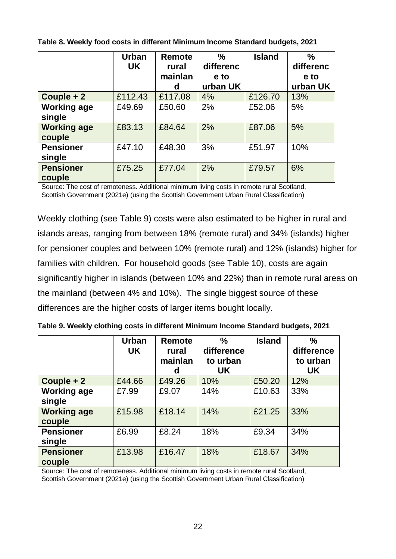|                              | <b>Urban</b><br><b>UK</b> | <b>Remote</b><br>rural<br>mainlan<br>d | $\frac{0}{0}$<br>differenc<br>e to<br>urban UK | <b>Island</b> | $\frac{0}{0}$<br>differenc<br>e to<br>urban UK |
|------------------------------|---------------------------|----------------------------------------|------------------------------------------------|---------------|------------------------------------------------|
| Couple $+2$                  | £112.43                   | £117.08                                | 4%                                             | £126.70       | 13%                                            |
| <b>Working age</b><br>single | £49.69                    | £50.60                                 | 2%                                             | £52.06        | 5%                                             |
| <b>Working age</b><br>couple | £83.13                    | £84.64                                 | 2%                                             | £87.06        | 5%                                             |
| <b>Pensioner</b><br>single   | £47.10                    | £48.30                                 | 3%                                             | £51.97        | 10%                                            |
| <b>Pensioner</b><br>couple   | £75.25                    | £77.04                                 | 2%                                             | £79.57        | 6%                                             |

<span id="page-21-0"></span>**Table 8. Weekly food costs in different Minimum Income Standard budgets, 2021**

Source: The cost of remoteness. Additional minimum living costs in remote rural Scotland, Scottish Government (2021e) (using the Scottish Government Urban Rural Classification)

Weekly clothing (see Table 9) costs were also estimated to be higher in rural and islands areas, ranging from between 18% (remote rural) and 34% (islands) higher for pensioner couples and between 10% (remote rural) and 12% (islands) higher for families with children. For household goods (see Table 10), costs are again significantly higher in islands (between 10% and 22%) than in remote rural areas on the mainland (between 4% and 10%). The single biggest source of these differences are the higher costs of larger items bought locally.

|                              | <b>Urban</b><br><b>UK</b> | <b>Remote</b><br>rural<br>mainlan<br>d | $\frac{0}{0}$<br>difference<br>to urban<br><b>UK</b> | <b>Island</b> | $\frac{0}{0}$<br>difference<br>to urban<br>UK |
|------------------------------|---------------------------|----------------------------------------|------------------------------------------------------|---------------|-----------------------------------------------|
| Couple + 2                   | £44.66                    | £49.26                                 | 10%                                                  | £50.20        | 12%                                           |
| <b>Working age</b><br>single | £7.99                     | £9.07                                  | 14%                                                  | £10.63        | 33%                                           |
| <b>Working age</b><br>couple | £15.98                    | £18.14                                 | 14%                                                  | £21.25        | 33%                                           |
| <b>Pensioner</b><br>single   | £6.99                     | £8.24                                  | 18%                                                  | £9.34         | 34%                                           |
| <b>Pensioner</b><br>couple   | £13.98                    | £16.47                                 | 18%                                                  | £18.67        | 34%                                           |

<span id="page-21-1"></span>**Table 9. Weekly clothing costs in different Minimum Income Standard budgets, 2021**

Source: The cost of remoteness. Additional minimum living costs in remote rural Scotland, Scottish Government (2021e) (using the Scottish Government Urban Rural Classification)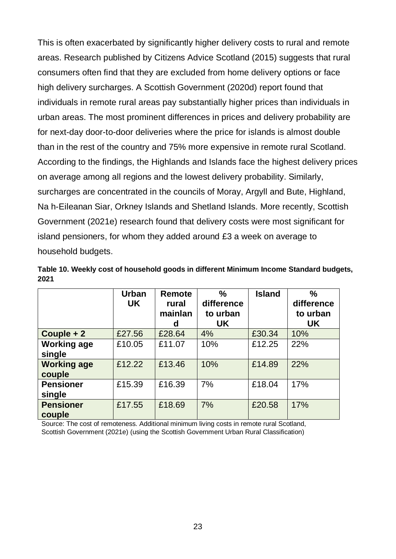This is often exacerbated by significantly higher delivery costs to rural and remote areas. Research published by Citizens Advice Scotland (2015) suggests that rural consumers often find that they are excluded from home delivery options or face high delivery surcharges. A Scottish Government (2020d) report found that individuals in remote rural areas pay substantially higher prices than individuals in urban areas. The most prominent differences in prices and delivery probability are for next-day door-to-door deliveries where the price for islands is almost double than in the rest of the country and 75% more expensive in remote rural Scotland. According to the findings, the Highlands and Islands face the highest delivery prices on average among all regions and the lowest delivery probability. Similarly, surcharges are concentrated in the councils of Moray, Argyll and Bute, Highland, Na h-Eileanan Siar, Orkney Islands and Shetland Islands. More recently, Scottish Government (2021e) research found that delivery costs were most significant for island pensioners, for whom they added around £3 a week on average to household budgets.

<span id="page-22-0"></span>

|      | Table 10. Weekly cost of household goods in different Minimum Income Standard budgets, |  |  |
|------|----------------------------------------------------------------------------------------|--|--|
| 2021 |                                                                                        |  |  |

|                              | <b>Urban</b><br><b>UK</b> | <b>Remote</b><br>rural<br>mainlan<br>d | $\frac{0}{0}$<br>difference<br>to urban<br>UK | <b>Island</b> | $\frac{0}{0}$<br>difference<br>to urban<br>UK |
|------------------------------|---------------------------|----------------------------------------|-----------------------------------------------|---------------|-----------------------------------------------|
| Couple + 2                   | £27.56                    | £28.64                                 | 4%                                            | £30.34        | 10%                                           |
| <b>Working age</b><br>single | £10.05                    | £11.07                                 | 10%                                           | £12.25        | 22%                                           |
| <b>Working age</b><br>couple | £12.22                    | £13.46                                 | 10%                                           | £14.89        | 22%                                           |
| <b>Pensioner</b><br>single   | £15.39                    | £16.39                                 | 7%                                            | £18.04        | 17%                                           |
| <b>Pensioner</b><br>couple   | £17.55                    | £18.69                                 | 7%                                            | £20.58        | 17%                                           |

Source: The cost of remoteness. Additional minimum living costs in remote rural Scotland, Scottish Government (2021e) (using the Scottish Government Urban Rural Classification)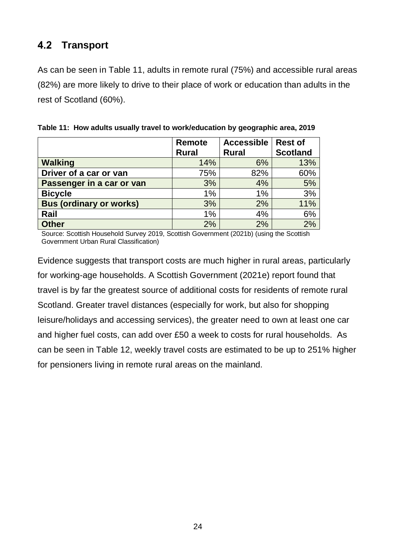#### <span id="page-23-0"></span>**Transport**  $4.2$

As can be seen in Table 11, adults in remote rural (75%) and accessible rural areas (82%) are more likely to drive to their place of work or education than adults in the rest of Scotland (60%).

|                                | <b>Remote</b><br><b>Rural</b> | <b>Accessible</b><br><b>Rural</b> | <b>Rest of</b><br><b>Scotland</b> |
|--------------------------------|-------------------------------|-----------------------------------|-----------------------------------|
| <b>Walking</b>                 | 14%                           | 6%                                | 13%                               |
| Driver of a car or van         | 75%                           | 82%                               | 60%                               |
| Passenger in a car or van      | 3%                            | 4%                                | 5%                                |
| <b>Bicycle</b>                 | 1%                            | 1%                                | 3%                                |
| <b>Bus (ordinary or works)</b> | 3%                            | 2%                                | 11%                               |
| Rail                           | 1%                            | 4%                                | 6%                                |
| <b>Other</b>                   | 2%                            | 2%                                | 2%                                |

<span id="page-23-1"></span>**Table 11: How adults usually travel to work/education by geographic area, 2019**

Source: Scottish Household Survey 2019, Scottish Government (2021b) (using the Scottish Government Urban Rural Classification)

Evidence suggests that transport costs are much higher in rural areas, particularly for working-age households. A Scottish Government (2021e) report found that travel is by far the greatest source of additional costs for residents of remote rural Scotland. Greater travel distances (especially for work, but also for shopping leisure/holidays and accessing services), the greater need to own at least one car and higher fuel costs, can add over £50 a week to costs for rural households. As can be seen in Table 12, weekly travel costs are estimated to be up to 251% higher for pensioners living in remote rural areas on the mainland.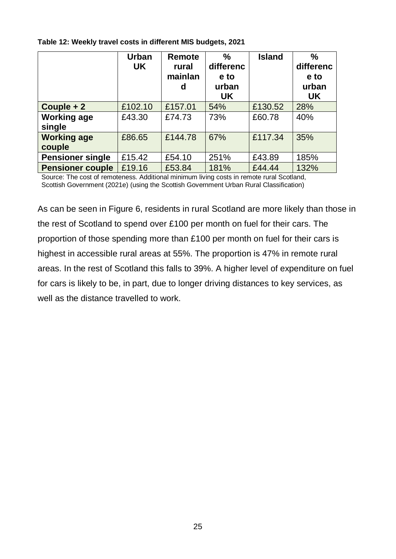<span id="page-24-0"></span>

| Table 12: Weekly travel costs in different MIS budgets, 2021 |  |  |
|--------------------------------------------------------------|--|--|
|                                                              |  |  |

|                              | <b>Urban</b><br><b>UK</b> | Remote<br>rural<br>mainlan<br>d | $\frac{0}{0}$<br>differenc<br>e to<br>urban<br><b>UK</b> | <b>Island</b> | $\frac{0}{0}$<br>differenc<br>e to<br>urban<br><b>UK</b> |
|------------------------------|---------------------------|---------------------------------|----------------------------------------------------------|---------------|----------------------------------------------------------|
| Couple $+2$                  | £102.10                   | £157.01                         | 54%                                                      | £130.52       | 28%                                                      |
| <b>Working age</b><br>single | £43.30                    | £74.73                          | 73%                                                      | £60.78        | 40%                                                      |
| <b>Working age</b><br>couple | £86.65                    | £144.78                         | 67%                                                      | £117.34       | 35%                                                      |
| <b>Pensioner single</b>      | £15.42                    | £54.10                          | 251%                                                     | £43.89        | 185%                                                     |
| <b>Pensioner couple</b>      | £19.16                    | £53.84                          | 181%                                                     | £44.44        | 132%                                                     |

Source: The cost of remoteness. Additional minimum living costs in remote rural Scotland, Scottish Government (2021e) (using the Scottish Government Urban Rural Classification)

As can be seen in Figure 6, residents in rural Scotland are more likely than those in the rest of Scotland to spend over £100 per month on fuel for their cars. The proportion of those spending more than £100 per month on fuel for their cars is highest in accessible rural areas at 55%. The proportion is 47% in remote rural areas. In the rest of Scotland this falls to 39%. A higher level of expenditure on fuel for cars is likely to be, in part, due to longer driving distances to key services, as well as the distance travelled to work.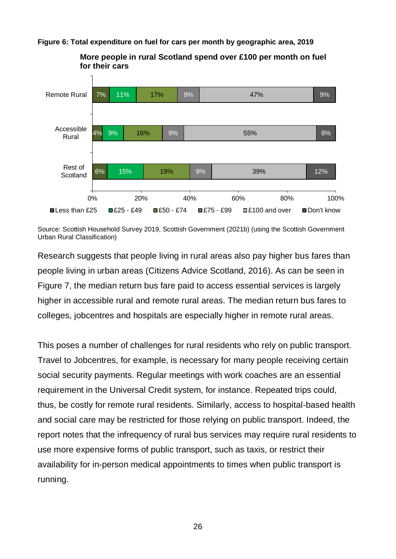<span id="page-25-0"></span>**Figure 6: Total expenditure on fuel for cars per month by geographic area, 2019**



**More people in rural Scotland spend over £100 per month on fuel for their cars**

Source: Scottish Household Survey 2019, Scottish Government (2021b) (using the Scottish Government Urban Rural Classification)

Research suggests that people living in rural areas also pay higher bus fares than people living in urban areas (Citizens Advice Scotland, 2016). As can be seen in Figure 7, the median return bus fare paid to access essential services is largely higher in accessible rural and remote rural areas. The median return bus fares to colleges, jobcentres and hospitals are especially higher in remote rural areas.

This poses a number of challenges for rural residents who rely on public transport. Travel to Jobcentres, for example, is necessary for many people receiving certain social security payments. Regular meetings with work coaches are an essential requirement in the Universal Credit system, for instance. Repeated trips could, thus, be costly for remote rural residents. Similarly, access to hospital-based health and social care may be restricted for those relying on public transport. Indeed, the report notes that the infrequency of rural bus services may require rural residents to use more expensive forms of public transport, such as taxis, or restrict their availability for in-person medical appointments to times when public transport is running.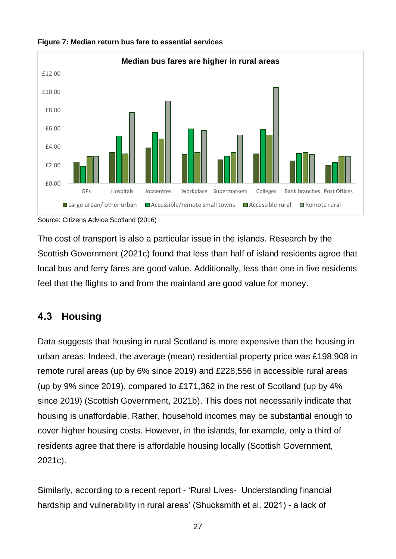

#### <span id="page-26-1"></span>**Figure 7: Median return bus fare to essential services**

Source: Citizens Advice Scotland (2016)

The cost of transport is also a particular issue in the islands. Research by the Scottish Government (2021c) found that less than half of island residents agree that local bus and ferry fares are good value. Additionally, less than one in five residents feel that the flights to and from the mainland are good value for money.

#### <span id="page-26-0"></span> $4.3$ **Housing**

Data suggests that housing in rural Scotland is more expensive than the housing in urban areas. Indeed, the average (mean) residential property price was £198,908 in remote rural areas (up by 6% since 2019) and £228,556 in accessible rural areas (up by 9% since 2019), compared to £171,362 in the rest of Scotland (up by 4% since 2019) (Scottish Government, 2021b). This does not necessarily indicate that housing is unaffordable. Rather, household incomes may be substantial enough to cover higher housing costs. However, in the islands, for example, only a third of residents agree that there is affordable housing locally (Scottish Government, 2021c).

Similarly, according to a recent report - 'Rural Lives- Understanding financial hardship and vulnerability in rural areas' (Shucksmith et al. 2021) - a lack of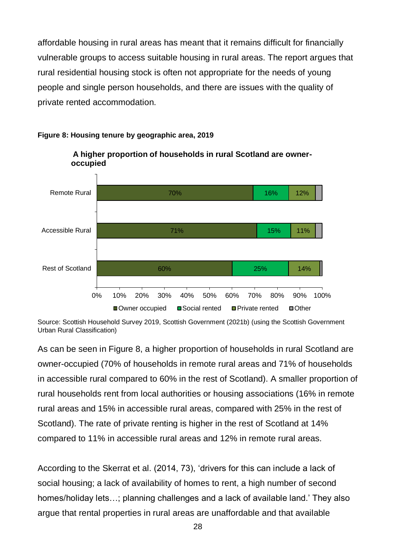affordable housing in rural areas has meant that it remains difficult for financially vulnerable groups to access suitable housing in rural areas. The report argues that rural residential housing stock is often not appropriate for the needs of young people and single person households, and there are issues with the quality of private rented accommodation.

**A higher proportion of households in rural Scotland are owner-**



### <span id="page-27-0"></span>**Figure 8: Housing tenure by geographic area, 2019**

**occupied**

Source: Scottish Household Survey 2019, Scottish Government (2021b) (using the Scottish Government Urban Rural Classification)

As can be seen in Figure 8, a higher proportion of households in rural Scotland are owner-occupied (70% of households in remote rural areas and 71% of households in accessible rural compared to 60% in the rest of Scotland). A smaller proportion of rural households rent from local authorities or housing associations (16% in remote rural areas and 15% in accessible rural areas, compared with 25% in the rest of Scotland). The rate of private renting is higher in the rest of Scotland at 14% compared to 11% in accessible rural areas and 12% in remote rural areas.

According to the Skerrat et al. (2014, 73), 'drivers for this can include a lack of social housing; a lack of availability of homes to rent, a high number of second homes/holiday lets…; planning challenges and a lack of available land.' They also argue that rental properties in rural areas are unaffordable and that available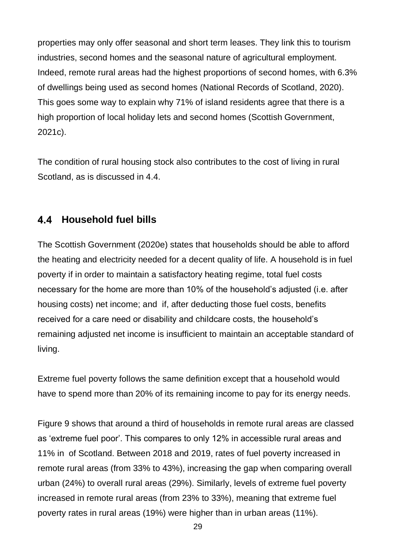properties may only offer seasonal and short term leases. They link this to tourism industries, second homes and the seasonal nature of agricultural employment. Indeed, remote rural areas had the highest proportions of second homes, with 6.3% of dwellings being used as second homes (National Records of Scotland, 2020). This goes some way to explain why 71% of island residents agree that there is a high proportion of local holiday lets and second homes (Scottish Government, 2021c).

The condition of rural housing stock also contributes to the cost of living in rural Scotland, as is discussed in 4.4.

## <span id="page-28-0"></span>**Household fuel bills**

The Scottish Government (2020e) states that households should be able to afford the heating and electricity needed for a decent quality of life. A household is in fuel poverty if in order to maintain a satisfactory heating regime, total fuel costs necessary for the home are more than 10% of the household's adjusted (i.e. after housing costs) net income; and if, after deducting those fuel costs, benefits received for a care need or disability and childcare costs, the household's remaining adjusted net income is insufficient to maintain an acceptable standard of living.

Extreme fuel poverty follows the same definition except that a household would have to spend more than 20% of its remaining income to pay for its energy needs.

Figure 9 shows that around a third of households in remote rural areas are classed as 'extreme fuel poor'. This compares to only 12% in accessible rural areas and 11% in of Scotland. Between 2018 and 2019, rates of fuel poverty increased in remote rural areas (from 33% to 43%), increasing the gap when comparing overall urban (24%) to overall rural areas (29%). Similarly, levels of extreme fuel poverty increased in remote rural areas (from 23% to 33%), meaning that extreme fuel poverty rates in rural areas (19%) were higher than in urban areas (11%).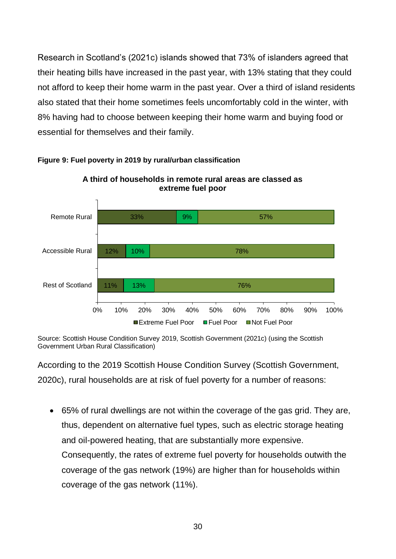Research in Scotland's (2021c) islands showed that 73% of islanders agreed that their heating bills have increased in the past year, with 13% stating that they could not afford to keep their home warm in the past year. Over a third of island residents also stated that their home sometimes feels uncomfortably cold in the winter, with 8% having had to choose between keeping their home warm and buying food or essential for themselves and their family.



**A third of households in remote rural areas are classed as extreme fuel poor**

<span id="page-29-0"></span>**Figure 9: Fuel poverty in 2019 by rural/urban classification**

Source: Scottish House Condition Survey 2019, Scottish Government (2021c) (using the Scottish Government Urban Rural Classification)

According to the 2019 Scottish House Condition Survey (Scottish Government, 2020c), rural households are at risk of fuel poverty for a number of reasons:

• 65% of rural dwellings are not within the coverage of the gas grid. They are, thus, dependent on alternative fuel types, such as electric storage heating and oil-powered heating, that are substantially more expensive. Consequently, the rates of extreme fuel poverty for households outwith the coverage of the gas network (19%) are higher than for households within coverage of the gas network (11%).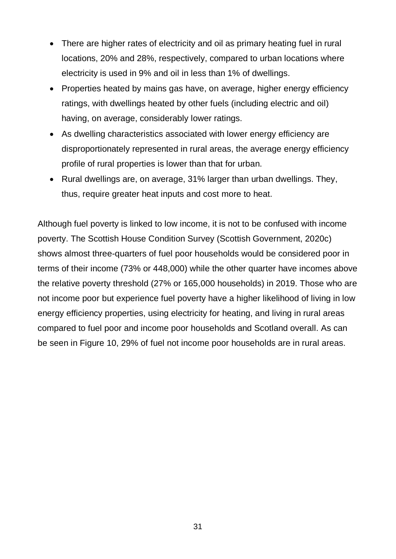- There are higher rates of electricity and oil as primary heating fuel in rural locations, 20% and 28%, respectively, compared to urban locations where electricity is used in 9% and oil in less than 1% of dwellings.
- Properties heated by mains gas have, on average, higher energy efficiency ratings, with dwellings heated by other fuels (including electric and oil) having, on average, considerably lower ratings.
- As dwelling characteristics associated with lower energy efficiency are disproportionately represented in rural areas, the average energy efficiency profile of rural properties is lower than that for urban.
- Rural dwellings are, on average, 31% larger than urban dwellings. They, thus, require greater heat inputs and cost more to heat.

Although fuel poverty is linked to low income, it is not to be confused with income poverty. The Scottish House Condition Survey (Scottish Government, 2020c) shows almost three-quarters of fuel poor households would be considered poor in terms of their income (73% or 448,000) while the other quarter have incomes above the relative poverty threshold (27% or 165,000 households) in 2019. Those who are not income poor but experience fuel poverty have a higher likelihood of living in low energy efficiency properties, using electricity for heating, and living in rural areas compared to fuel poor and income poor households and Scotland overall. As can be seen in Figure 10, 29% of fuel not income poor households are in rural areas.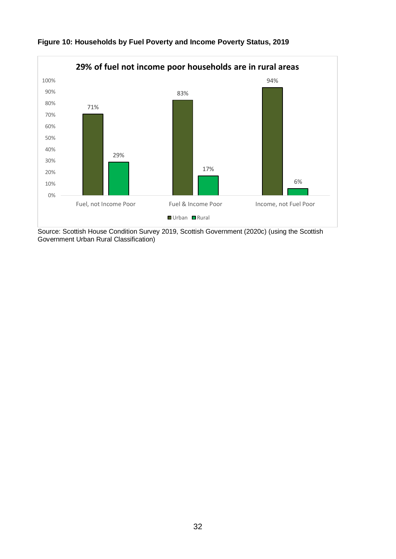

### <span id="page-31-0"></span>**Figure 10: Households by Fuel Poverty and Income Poverty Status, 2019**

Source: Scottish House Condition Survey 2019, Scottish Government (2020c) (using the Scottish Government Urban Rural Classification)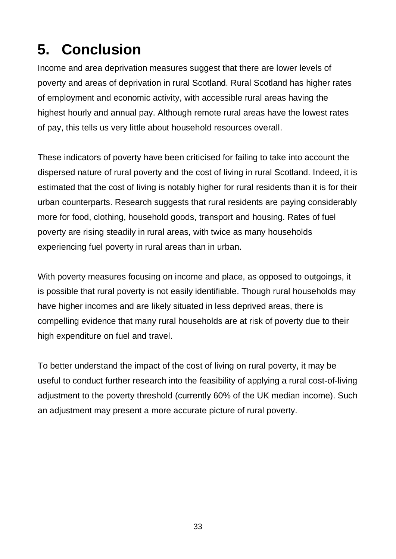# <span id="page-32-0"></span>**5. Conclusion**

Income and area deprivation measures suggest that there are lower levels of poverty and areas of deprivation in rural Scotland. Rural Scotland has higher rates of employment and economic activity, with accessible rural areas having the highest hourly and annual pay. Although remote rural areas have the lowest rates of pay, this tells us very little about household resources overall.

These indicators of poverty have been criticised for failing to take into account the dispersed nature of rural poverty and the cost of living in rural Scotland. Indeed, it is estimated that the cost of living is notably higher for rural residents than it is for their urban counterparts. Research suggests that rural residents are paying considerably more for food, clothing, household goods, transport and housing. Rates of fuel poverty are rising steadily in rural areas, with twice as many households experiencing fuel poverty in rural areas than in urban.

With poverty measures focusing on income and place, as opposed to outgoings, it is possible that rural poverty is not easily identifiable. Though rural households may have higher incomes and are likely situated in less deprived areas, there is compelling evidence that many rural households are at risk of poverty due to their high expenditure on fuel and travel.

To better understand the impact of the cost of living on rural poverty, it may be useful to conduct further research into the feasibility of applying a rural cost-of-living adjustment to the poverty threshold (currently 60% of the UK median income). Such an adjustment may present a more accurate picture of rural poverty.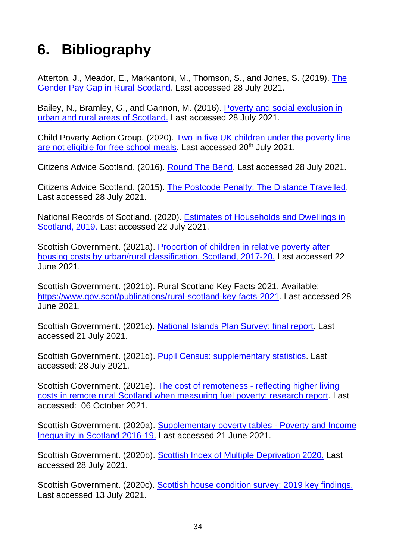# <span id="page-33-0"></span>**6. Bibliography**

Atterton, J., Meador, E., Markantoni, M., Thomson, S., and Jones, S. (2019). [The](https://sefari.scot/sites/default/files/documents/Gender_Pay_Gap_Rural_Scotland_Report.pdf)  [Gender Pay Gap in Rural Scotland.](https://sefari.scot/sites/default/files/documents/Gender_Pay_Gap_Rural_Scotland_Report.pdf) Last accessed 28 July 2021.

Bailey, N., Bramley, G., and Gannon, M. (2016). [Poverty and social exclusion in](https://www.poverty.ac.uk/sites/default/files/attachments/PSE-Report-Scotland-urban-rural-poverty-March-2016.pdf)  [urban and rural areas of Scotland.](https://www.poverty.ac.uk/sites/default/files/attachments/PSE-Report-Scotland-urban-rural-poverty-March-2016.pdf) Last accessed 28 July 2021.

Child Poverty Action Group. (2020). [Two in five UK children under the poverty line](https://cpag.org.uk/news-blogs/news-listings/two-five-uk-children-under-poverty-line-are-not-eligible-free-school-meals)  [are not eligible for free school meals.](https://cpag.org.uk/news-blogs/news-listings/two-five-uk-children-under-poverty-line-are-not-eligible-free-school-meals) Last accessed 20<sup>th</sup> July 2021.

Citizens Advice Scotland. (2016). [Round The Bend.](https://www.cas.org.uk/publications/round-bend) Last accessed 28 July 2021.

Citizens Advice Scotland. (2015). [The Postcode Penalty: The Distance Travelled.](https://www.cas.org.uk/publications/postcode-penalty-distance-travelled) Last accessed 28 July 2021.

National Records of Scotland. (2020). [Estimates of Households and Dwellings in](https://www.nrscotland.gov.uk/files/statistics/household-estimates/2019/house-est-19-publication.pdf)  [Scotland, 2019.](https://www.nrscotland.gov.uk/files/statistics/household-estimates/2019/house-est-19-publication.pdf) Last accessed 22 July 2021.

Scottish Government. (2021a). [Proportion of children in relative poverty after](https://data.gov.scot/poverty/download.html)  [housing costs by urban/rural classification, Scotland, 2017-20.](https://data.gov.scot/poverty/download.html) Last accessed 22 June 2021.

Scottish Government. (2021b). Rural Scotland Key Facts 2021. Available: [https://www.gov.scot/publications/rural-scotland-key-facts-2021.](https://www.gov.scot/publications/rural-scotland-key-facts-2021) Last accessed 28 June 2021.

Scottish Government. (2021c). [National Islands Plan Survey: final report.](https://www.gov.scot/publications/national-islands-plan-survey-final-report/pages/1/) Last accessed 21 July 2021.

Scottish Government. (2021d). [Pupil Census: supplementary statistics.](https://www.gov.scot/publications/pupil-census-supplementary-statistics/) Last accessed: 28 July 2021.

Scottish Government. (2021e). [The cost of remoteness -](https://www.gov.scot/publications/cost-remoteness-reflecting-higher-living-costs-remote-rural-scotland-measuring-fuel-poverty/) reflecting higher living [costs in remote rural Scotland when measuring fuel poverty: research report.](https://www.gov.scot/publications/cost-remoteness-reflecting-higher-living-costs-remote-rural-scotland-measuring-fuel-poverty/) Last accessed: 06 October 2021.

Scottish Government. (2020a). [Supplementary poverty tables -](https://www.gov.scot/publications/additional-poverty-statistics-2020/) Poverty and Income [Inequality in Scotland 2016-19.](https://www.gov.scot/publications/additional-poverty-statistics-2020/) Last accessed 21 June 2021.

Scottish Government. (2020b). [Scottish Index of Multiple Deprivation 2020.](https://www.gov.scot/collections/scottish-index-of-multiple-deprivation-2020) Last accessed 28 July 2021.

Scottish Government. (2020c). [Scottish house condition survey: 2019 key findings.](https://www.gov.scot/publications/scottish-house-condition-survey-2019-key-findings) Last accessed 13 July 2021.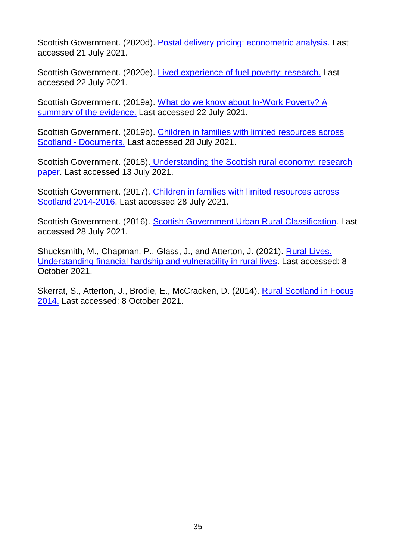Scottish Government. (2020d). [Postal delivery pricing: econometric analysis.](https://www.gov.scot/publications/economic-analysis-postal-delivery-pricing-scotland/pages/1/) Last accessed 21 July 2021.

Scottish Government. (2020e). [Lived experience of fuel poverty: research.](https://www.gov.scot/publications/research-lived-experience-fuel-poverty-scotland/pages/1/) Last accessed 22 July 2021.

Scottish Government. (2019a). [What do we know about In-Work Poverty? A](https://www.gov.scot/publications/working-poverty/)  [summary of the evidence.](https://www.gov.scot/publications/working-poverty/) Last accessed 22 July 2021.

Scottish Government. (2019b). [Children in families with limited resources across](https://www.gov.scot/publications/children-in-families-with-limited-resources)  Scotland - [Documents.](https://www.gov.scot/publications/children-in-families-with-limited-resources) Last accessed 28 July 2021.

Scottish Government. (2018). [Understanding the Scottish rural economy: research](https://www.gov.scot/publications/understanding-scottish-rural-economy)  [paper.](https://www.gov.scot/publications/understanding-scottish-rural-economy) Last accessed 13 July 2021.

Scottish Government. (2017). [Children in families with limited resources across](https://www.gov.scot/publications/children-families-limited-resources-scotland-2014-2016/pages/4/) [Scotland 2014-2016.](https://www.gov.scot/publications/children-families-limited-resources-scotland-2014-2016/pages/4/) Last accessed 28 July 2021.

Scottish Government. (2016). [Scottish Government Urban Rural Classification.](https://www2.gov.scot/Resource/0054/00542959.pdf) Last accessed 28 July 2021.

Shucksmith, M., Chapman, P., Glass, J., and Atterton, J. (2021). [Rural Lives.](https://www.rurallives.co.uk/rural-lives-final-report.html)  [Understanding financial hardship and vulnerability in rural lives.](https://www.rurallives.co.uk/rural-lives-final-report.html) Last accessed: 8 October 2021.

Skerrat, S., Atterton, J., Brodie, E., McCracken, D. (2014). [Rural Scotland in Focus](https://pure.sruc.ac.uk/en/publications/rural-scotland-in-focus-2014)  [2014.](https://pure.sruc.ac.uk/en/publications/rural-scotland-in-focus-2014) Last accessed: 8 October 2021.